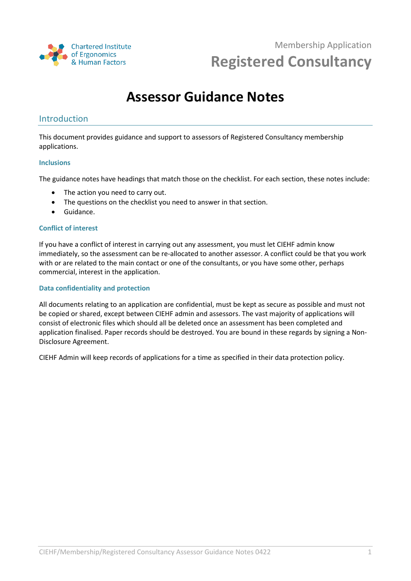

# **Assessor Guidance Notes**

### Introduction

This document provides guidance and support to assessors of Registered Consultancy membership applications.

#### **Inclusions**

The guidance notes have headings that match those on the checklist. For each section, these notes include:

- The action you need to carry out.
- The questions on the checklist you need to answer in that section.
- Guidance.

#### **Conflict of interest**

If you have a conflict of interest in carrying out any assessment, you must let CIEHF admin know immediately, so the assessment can be re-allocated to another assessor. A conflict could be that you work with or are related to the main contact or one of the consultants, or you have some other, perhaps commercial, interest in the application.

#### **Data confidentiality and protection**

All documents relating to an application are confidential, must be kept as secure as possible and must not be copied or shared, except between CIEHF admin and assessors. The vast majority of applications will consist of electronic files which should all be deleted once an assessment has been completed and application finalised. Paper records should be destroyed. You are bound in these regards by signing a Non-Disclosure Agreement.

CIEHF Admin will keep records of applications for a time as specified in their data protection policy.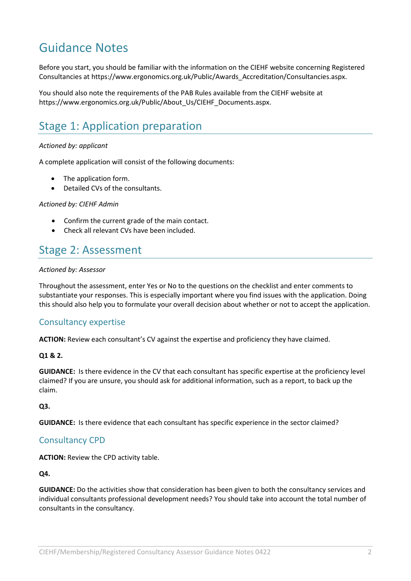# Guidance Notes

Before you start, you should be familiar with the information on the CIEHF website concerning Registered Consultancies at https://www.ergonomics.org.uk/Public/Awards\_Accreditation/Consultancies.aspx.

You should also note the requirements of the PAB Rules available from the CIEHF website at https://www.ergonomics.org.uk/Public/About\_Us/CIEHF\_Documents.aspx.

## Stage 1: Application preparation

#### *Actioned by: applicant*

A complete application will consist of the following documents:

- The application form.
- Detailed CVs of the consultants.

#### *Actioned by: CIEHF Admin*

- Confirm the current grade of the main contact.
- Check all relevant CVs have been included.

## Stage 2: Assessment

#### *Actioned by: Assessor*

Throughout the assessment, enter Yes or No to the questions on the checklist and enter comments to substantiate your responses. This is especially important where you find issues with the application. Doing this should also help you to formulate your overall decision about whether or not to accept the application.

### Consultancy expertise

**ACTION:** Review each consultant's CV against the expertise and proficiency they have claimed.

#### **Q1 & 2.**

**GUIDANCE:** Is there evidence in the CV that each consultant has specific expertise at the proficiency level claimed? If you are unsure, you should ask for additional information, such as a report, to back up the claim.

#### **Q3.**

**GUIDANCE:** Is there evidence that each consultant has specific experience in the sector claimed?

### Consultancy CPD

**ACTION:** Review the CPD activity table.

#### **Q4.**

**GUIDANCE:** Do the activities show that consideration has been given to both the consultancy services and individual consultants professional development needs? You should take into account the total number of consultants in the consultancy.